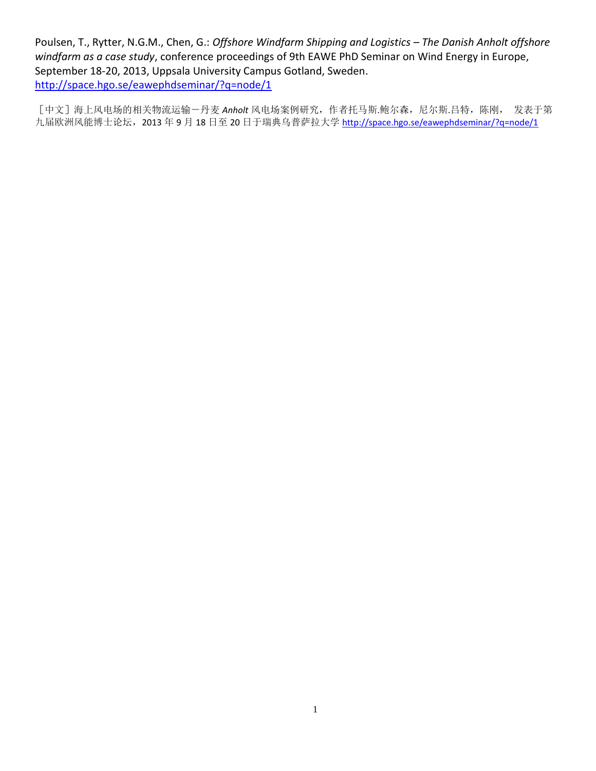Poulsen, T., Rytter, N.G.M., Chen, G.: *Offshore Windfarm Shipping and Logistics – The Danish Anholt offshore windfarm as a case study*, conference proceedings of 9th EAWE PhD Seminar on Wind Energy in Europe, September 18-20, 2013, Uppsala University Campus Gotland, Sweden. <http://space.hgo.se/eawephdseminar/?q=node/1>

[中文]海上风电场的相关物流运输-丹麦 *Anholt* 风电场案例研究,作者托马斯.鲍尔森,尼尔斯.吕特,陈刚, 发表于第 九届欧洲风能博士论坛,2013年9月18日至20日于瑞典乌普萨拉大学 <http://space.hgo.se/eawephdseminar/?q=node/1>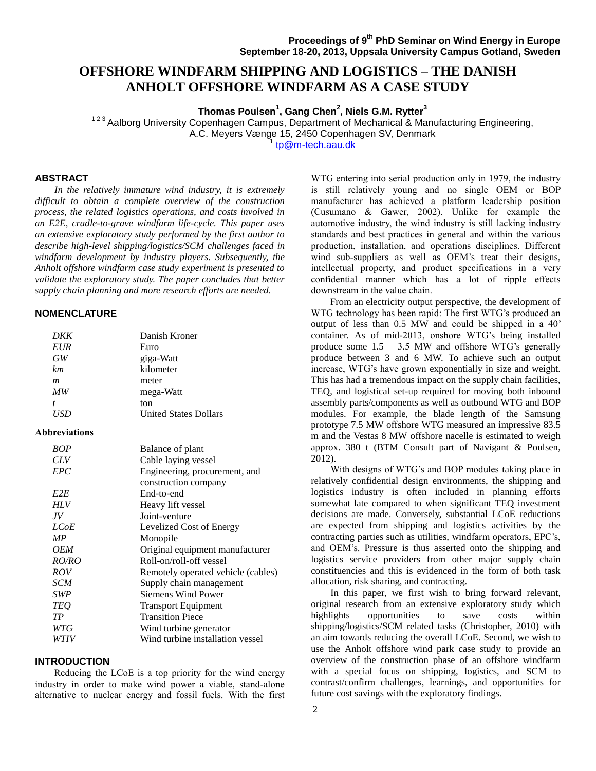# **OFFSHORE WINDFARM SHIPPING AND LOGISTICS – THE DANISH ANHOLT OFFSHORE WINDFARM AS A CASE STUDY**

**Thomas Poulsen<sup>1</sup> , Gang Chen<sup>2</sup> , Niels G.M. Rytter<sup>3</sup>**

<sup>123</sup> Aalborg University Copenhagen Campus, Department of Mechanical & Manufacturing Engineering,

A.C. Meyers Vænge 15, 2450 Copenhagen SV, Denmark

1 [tp@m-tech.aau.dk](mailto:tp@m-tech.aau.dk)

## **ABSTRACT**

 *In the relatively immature wind industry, it is extremely difficult to obtain a complete overview of the construction process, the related logistics operations, and costs involved in an E2E, cradle-to-grave windfarm life-cycle. This paper uses an extensive exploratory study performed by the first author to describe high-level shipping/logistics/SCM challenges faced in windfarm development by industry players. Subsequently, the Anholt offshore windfarm case study experiment is presented to validate the exploratory study. The paper concludes that better supply chain planning and more research efforts are needed.* 

#### **NOMENCLATURE**

| DKK               | Danish Kroner                      |
|-------------------|------------------------------------|
| <b>EUR</b>        | Euro                               |
| GW                | giga-Watt                          |
| km                | kilometer                          |
| m                 | meter                              |
| MW                | mega-Watt                          |
| $\mathbf{f}$      | ton                                |
| <b>USD</b>        | <b>United States Dollars</b>       |
| Abbreviations     |                                    |
| <b>BOP</b>        | Balance of plant                   |
| <b>CLV</b>        | Cable laying vessel                |
| EPC               | Engineering, procurement, and      |
|                   | construction company               |
| E <sub>2</sub> E  | End-to-end                         |
| HLV               | Heavy lift vessel                  |
| JV                | Joint-venture                      |
| <i>LCoE</i>       | Levelized Cost of Energy           |
| MP                | Monopile                           |
| <i><b>OEM</b></i> | Original equipment manufacturer    |
| <i>RO/RO</i>      | Roll-on/roll-off yessel            |
| <b>ROV</b>        | Remotely operated vehicle (cables) |
| <b>SCM</b>        | Supply chain management            |
| <b>SWP</b>        | Siemens Wind Power                 |
| <b>TEQ</b>        | <b>Transport Equipment</b>         |
| TP                | <b>Transition Piece</b>            |
| WTG               | Wind turbine generator             |
| WTIV              | Wind turbine installation vessel   |

#### **INTRODUCTION**

Reducing the LCoE is a top priority for the wind energy industry in order to make wind power a viable, stand-alone alternative to nuclear energy and fossil fuels. With the first

WTG entering into serial production only in 1979, the industry is still relatively young and no single OEM or BOP manufacturer has achieved a platform leadership position (Cusumano & Gawer, 2002). Unlike for example the automotive industry, the wind industry is still lacking industry standards and best practices in general and within the various production, installation, and operations disciplines. Different wind sub-suppliers as well as OEM's treat their designs, intellectual property, and product specifications in a very confidential manner which has a lot of ripple effects downstream in the value chain.

From an electricity output perspective, the development of WTG technology has been rapid: The first WTG's produced an output of less than 0.5 MW and could be shipped in a 40' container. As of mid-2013, onshore WTG's being installed produce some  $1.5 - 3.5$  MW and offshore WTG's generally produce between 3 and 6 MW. To achieve such an output increase, WTG's have grown exponentially in size and weight. This has had a tremendous impact on the supply chain facilities, TEQ, and logistical set-up required for moving both inbound assembly parts/components as well as outbound WTG and BOP modules. For example, the blade length of the Samsung prototype 7.5 MW offshore WTG measured an impressive 83.5 m and the Vestas 8 MW offshore nacelle is estimated to weigh approx. 380 t (BTM Consult part of Navigant & Poulsen, 2012).

 With designs of WTG's and BOP modules taking place in relatively confidential design environments, the shipping and logistics industry is often included in planning efforts somewhat late compared to when significant TEQ investment decisions are made. Conversely, substantial LCoE reductions are expected from shipping and logistics activities by the contracting parties such as utilities, windfarm operators, EPC's, and OEM's. Pressure is thus asserted onto the shipping and logistics service providers from other major supply chain constituencies and this is evidenced in the form of both task allocation, risk sharing, and contracting.

 In this paper, we first wish to bring forward relevant, original research from an extensive exploratory study which highlights opportunities to save costs within shipping/logistics/SCM related tasks (Christopher, 2010) with an aim towards reducing the overall LCoE. Second, we wish to use the Anholt offshore wind park case study to provide an overview of the construction phase of an offshore windfarm with a special focus on shipping, logistics, and SCM to contrast/confirm challenges, learnings, and opportunities for future cost savings with the exploratory findings.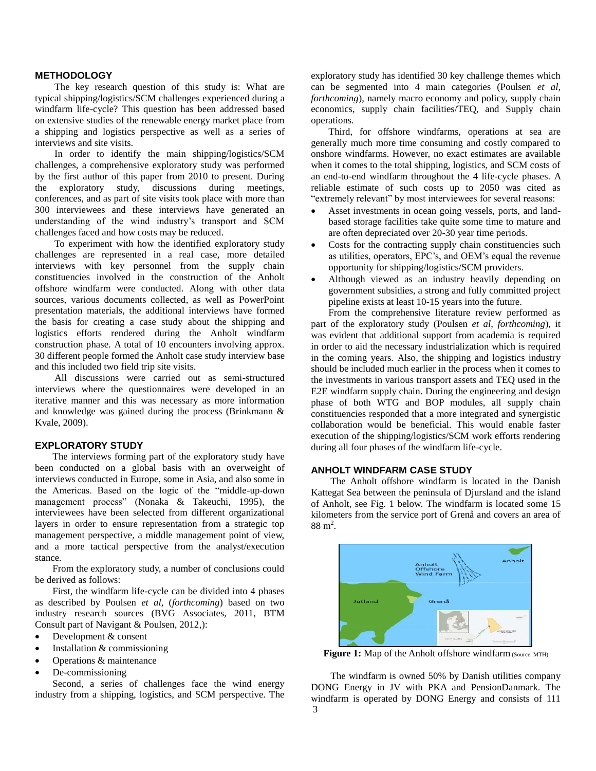# **METHODOLOGY**

 The key research question of this study is: What are typical shipping/logistics/SCM challenges experienced during a windfarm life-cycle? This question has been addressed based on extensive studies of the renewable energy market place from a shipping and logistics perspective as well as a series of interviews and site visits.

 In order to identify the main shipping/logistics/SCM challenges, a comprehensive exploratory study was performed by the first author of this paper from 2010 to present. During the exploratory study, discussions during meetings, conferences, and as part of site visits took place with more than 300 interviewees and these interviews have generated an understanding of the wind industry's transport and SCM challenges faced and how costs may be reduced.

 To experiment with how the identified exploratory study challenges are represented in a real case, more detailed interviews with key personnel from the supply chain constituencies involved in the construction of the Anholt offshore windfarm were conducted. Along with other data sources, various documents collected, as well as PowerPoint presentation materials, the additional interviews have formed the basis for creating a case study about the shipping and logistics efforts rendered during the Anholt windfarm construction phase. A total of 10 encounters involving approx. 30 different people formed the Anholt case study interview base and this included two field trip site visits.

 All discussions were carried out as semi-structured interviews where the questionnaires were developed in an iterative manner and this was necessary as more information and knowledge was gained during the process (Brinkmann & Kvale, 2009).

# **EXPLORATORY STUDY**

The interviews forming part of the exploratory study have been conducted on a global basis with an overweight of interviews conducted in Europe, some in Asia, and also some in the Americas. Based on the logic of the "middle-up-down management process" (Nonaka & Takeuchi, 1995), the interviewees have been selected from different organizational layers in order to ensure representation from a strategic top management perspective, a middle management point of view, and a more tactical perspective from the analyst/execution stance.

From the exploratory study, a number of conclusions could be derived as follows:

First, the windfarm life-cycle can be divided into 4 phases as described by Poulsen *et al*, (*forthcoming*) based on two industry research sources (BVG Associates, 2011, BTM Consult part of Navigant & Poulsen, 2012,):

- Development & consent
- Installation & commissioning
- Operations & maintenance
- De-commissioning

Second, a series of challenges face the wind energy industry from a shipping, logistics, and SCM perspective. The exploratory study has identified 30 key challenge themes which can be segmented into 4 main categories (Poulsen *et al, forthcoming*), namely macro economy and policy, supply chain economics, supply chain facilities/TEQ, and Supply chain operations.

Third, for offshore windfarms, operations at sea are generally much more time consuming and costly compared to onshore windfarms. However, no exact estimates are available when it comes to the total shipping, logistics, and SCM costs of an end-to-end windfarm throughout the 4 life-cycle phases. A reliable estimate of such costs up to 2050 was cited as "extremely relevant" by most interviewees for several reasons:

- Asset investments in ocean going vessels, ports, and landbased storage facilities take quite some time to mature and are often depreciated over 20-30 year time periods.
- Costs for the contracting supply chain constituencies such as utilities, operators, EPC's, and OEM's equal the revenue opportunity for shipping/logistics/SCM providers.
- Although viewed as an industry heavily depending on government subsidies, a strong and fully committed project pipeline exists at least 10-15 years into the future.

From the comprehensive literature review performed as part of the exploratory study (Poulsen *et al*, *forthcoming*), it was evident that additional support from academia is required in order to aid the necessary industrialization which is required in the coming years. Also, the shipping and logistics industry should be included much earlier in the process when it comes to the investments in various transport assets and TEQ used in the E2E windfarm supply chain. During the engineering and design phase of both WTG and BOP modules, all supply chain constituencies responded that a more integrated and synergistic collaboration would be beneficial. This would enable faster execution of the shipping/logistics/SCM work efforts rendering during all four phases of the windfarm life-cycle.

# **ANHOLT WINDFARM CASE STUDY**

 The Anholt offshore windfarm is located in the Danish Kattegat Sea between the peninsula of Djursland and the island of Anholt, see Fig. 1 below. The windfarm is located some 15 kilometers from the service port of Grenå and covers an area of  $88 \text{ m}^2$ .



Figure 1: Map of the Anholt offshore windfarm (Source: MTH)

3 The windfarm is owned 50% by Danish utilities company DONG Energy in JV with PKA and PensionDanmark. The windfarm is operated by DONG Energy and consists of 111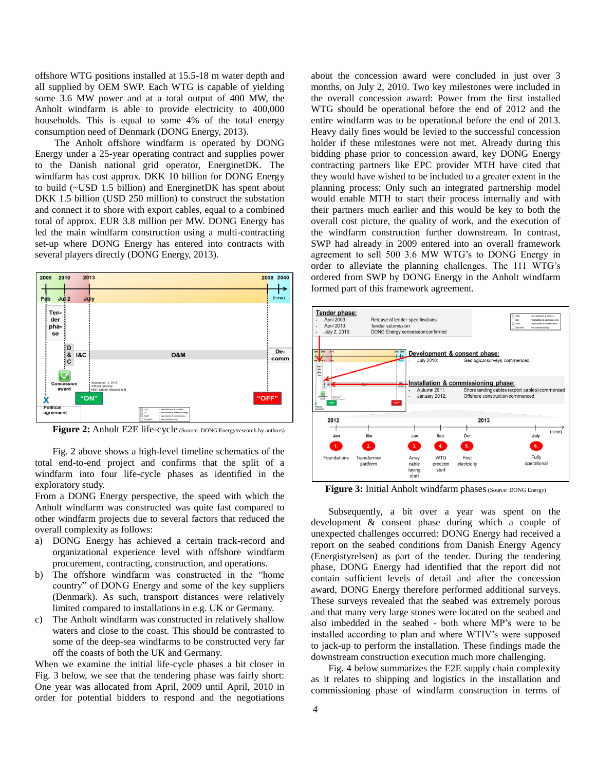offshore WTG positions installed at 15.5-18 m water depth and all supplied by OEM SWP. Each WTG is capable of yielding some 3.6 MW power and at a total output of 400 MW, the Anholt windfarm is able to provide electricity to 400,000 households. This is equal to some 4% of the total energy consumption need of Denmark (DONG Energy, 2013).

 The Anholt offshore windfarm is operated by DONG Energy under a 25-year operating contract and supplies power to the Danish national grid operator, EnerginetDK. The windfarm has cost approx. DKK 10 billion for DONG Energy to build (~USD 1.5 billion) and EnerginetDK has spent about DKK 1.5 billion (USD 250 million) to construct the substation and connect it to shore with export cables, equal to a combined total of approx. EUR 3.8 million per MW. DONG Energy has led the main windfarm construction using a multi-contracting set-up where DONG Energy has entered into contracts with several players directly (DONG Energy, 2013).



Figure 2: Anholt E2E life-cycle (Source: DONG Energy/research by authors)

Fig. 2 above shows a high-level timeline schematics of the total end-to-end project and confirms that the split of a windfarm into four life-cycle phases as identified in the exploratory study.

From a DONG Energy perspective, the speed with which the Anholt windfarm was constructed was quite fast compared to other windfarm projects due to several factors that reduced the overall complexity as follows:

- a) DONG Energy has achieved a certain track-record and organizational experience level with offshore windfarm procurement, contracting, construction, and operations.
- b) The offshore windfarm was constructed in the "home country" of DONG Energy and some of the key suppliers (Denmark). As such, transport distances were relatively limited compared to installations in e.g. UK or Germany.
- c) The Anholt windfarm was constructed in relatively shallow waters and close to the coast. This should be contrasted to some of the deep-sea windfarms to be constructed very far off the coasts of both the UK and Germany.

When we examine the initial life-cycle phases a bit closer in Fig. 3 below, we see that the tendering phase was fairly short: One year was allocated from April, 2009 until April, 2010 in order for potential bidders to respond and the negotiations

about the concession award were concluded in just over 3 months, on July 2, 2010. Two key milestones were included in the overall concession award: Power from the first installed WTG should be operational before the end of 2012 and the entire windfarm was to be operational before the end of 2013. Heavy daily fines would be levied to the successful concession holder if these milestones were not met. Already during this bidding phase prior to concession award, key DONG Energy contracting partners like EPC provider MTH have cited that they would have wished to be included to a greater extent in the planning process: Only such an integrated partnership model would enable MTH to start their process internally and with their partners much earlier and this would be key to both the overall cost picture, the quality of work, and the execution of the windfarm construction further downstream. In contrast, SWP had already in 2009 entered into an overall framework agreement to sell 500 3.6 MW WTG's to DONG Energy in order to alleviate the planning challenges. The 111 WTG's ordered from SWP by DONG Energy in the Anholt windfarm formed part of this framework agreement.



**Figure 3:** Initial Anholt windfarm phases (Source: DONG Energy)

Subsequently, a bit over a year was spent on the development & consent phase during which a couple of unexpected challenges occurred: DONG Energy had received a report on the seabed conditions from Danish Energy Agency (Energistyrelsen) as part of the tender. During the tendering phase, DONG Energy had identified that the report did not contain sufficient levels of detail and after the concession award, DONG Energy therefore performed additional surveys. These surveys revealed that the seabed was extremely porous and that many very large stones were located on the seabed and also imbedded in the seabed - both where MP's were to be installed according to plan and where WTIV's were supposed to jack-up to perform the installation. These findings made the downstream construction execution much more challenging.

Fig. 4 below summarizes the E2E supply chain complexity as it relates to shipping and logistics in the installation and commissioning phase of windfarm construction in terms of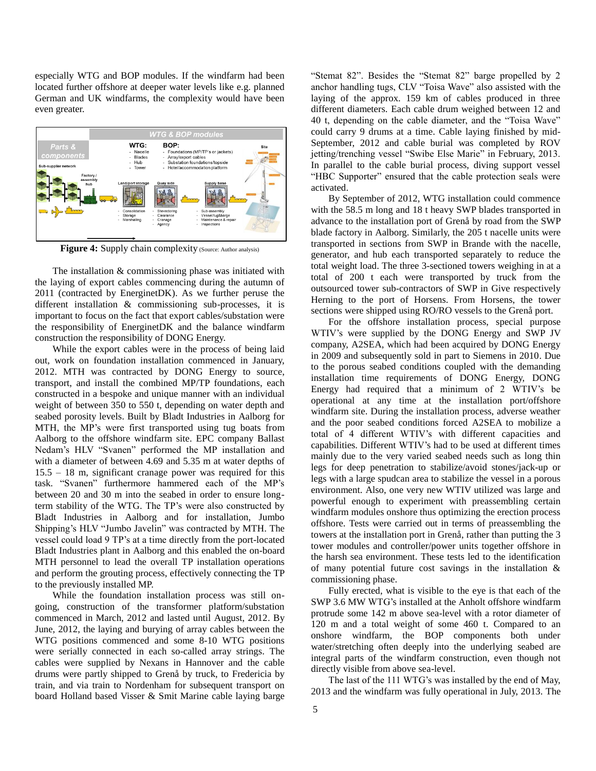especially WTG and BOP modules. If the windfarm had been located further offshore at deeper water levels like e.g. planned German and UK windfarms, the complexity would have been even greater.



Figure 4: Supply chain complexity (Source: Author analysis)

The installation & commissioning phase was initiated with the laying of export cables commencing during the autumn of 2011 (contracted by EnerginetDK). As we further peruse the different installation & commissioning sub-processes, it is important to focus on the fact that export cables/substation were the responsibility of EnerginetDK and the balance windfarm construction the responsibility of DONG Energy.

While the export cables were in the process of being laid out, work on foundation installation commenced in January, 2012. MTH was contracted by DONG Energy to source, transport, and install the combined MP/TP foundations, each constructed in a bespoke and unique manner with an individual weight of between 350 to 550 t, depending on water depth and seabed porosity levels. Built by Bladt Industries in Aalborg for MTH, the MP's were first transported using tug boats from Aalborg to the offshore windfarm site. EPC company Ballast Nedam's HLV "Svanen" performed the MP installation and with a diameter of between 4.69 and 5.35 m at water depths of 15.5 – 18 m, significant cranage power was required for this task. "Svanen" furthermore hammered each of the MP's between 20 and 30 m into the seabed in order to ensure longterm stability of the WTG. The TP's were also constructed by Bladt Industries in Aalborg and for installation, Jumbo Shipping's HLV "Jumbo Javelin" was contracted by MTH. The vessel could load 9 TP's at a time directly from the port-located Bladt Industries plant in Aalborg and this enabled the on-board MTH personnel to lead the overall TP installation operations and perform the grouting process, effectively connecting the TP to the previously installed MP.

While the foundation installation process was still ongoing, construction of the transformer platform/substation commenced in March, 2012 and lasted until August, 2012. By June, 2012, the laying and burying of array cables between the WTG positions commenced and some 8-10 WTG positions were serially connected in each so-called array strings. The cables were supplied by Nexans in Hannover and the cable drums were partly shipped to Grenå by truck, to Fredericia by train, and via train to Nordenham for subsequent transport on board Holland based Visser & Smit Marine cable laying barge

"Stemat 82". Besides the "Stemat 82" barge propelled by 2 anchor handling tugs, CLV "Toisa Wave" also assisted with the laying of the approx. 159 km of cables produced in three different diameters. Each cable drum weighed between 12 and 40 t, depending on the cable diameter, and the "Toisa Wave" could carry 9 drums at a time. Cable laying finished by mid-September, 2012 and cable burial was completed by ROV jetting/trenching vessel "Swibe Else Marie" in February, 2013. In parallel to the cable burial process, diving support vessel "HBC Supporter" ensured that the cable protection seals were activated.

By September of 2012, WTG installation could commence with the 58.5 m long and 18 t heavy SWP blades transported in advance to the installation port of Grenå by road from the SWP blade factory in Aalborg. Similarly, the 205 t nacelle units were transported in sections from SWP in Brande with the nacelle, generator, and hub each transported separately to reduce the total weight load. The three 3-sectioned towers weighing in at a total of 200 t each were transported by truck from the outsourced tower sub-contractors of SWP in Give respectively Herning to the port of Horsens. From Horsens, the tower sections were shipped using RO/RO vessels to the Grenå port.

For the offshore installation process, special purpose WTIV's were supplied by the DONG Energy and SWP JV company, A2SEA, which had been acquired by DONG Energy in 2009 and subsequently sold in part to Siemens in 2010. Due to the porous seabed conditions coupled with the demanding installation time requirements of DONG Energy, DONG Energy had required that a minimum of 2 WTIV's be operational at any time at the installation port/offshore windfarm site. During the installation process, adverse weather and the poor seabed conditions forced A2SEA to mobilize a total of 4 different WTIV's with different capacities and capabilities. Different WTIV's had to be used at different times mainly due to the very varied seabed needs such as long thin legs for deep penetration to stabilize/avoid stones/jack-up or legs with a large spudcan area to stabilize the vessel in a porous environment. Also, one very new WTIV utilized was large and powerful enough to experiment with preassembling certain windfarm modules onshore thus optimizing the erection process offshore. Tests were carried out in terms of preassembling the towers at the installation port in Grenå, rather than putting the 3 tower modules and controller/power units together offshore in the harsh sea environment. These tests led to the identification of many potential future cost savings in the installation & commissioning phase.

Fully erected, what is visible to the eye is that each of the SWP 3.6 MW WTG's installed at the Anholt offshore windfarm protrude some 142 m above sea-level with a rotor diameter of 120 m and a total weight of some 460 t. Compared to an onshore windfarm, the BOP components both under water/stretching often deeply into the underlying seabed are integral parts of the windfarm construction, even though not directly visible from above sea-level.

The last of the 111 WTG's was installed by the end of May, 2013 and the windfarm was fully operational in July, 2013. The